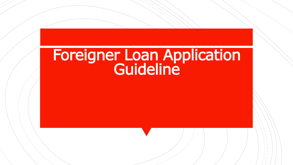# Foreigner Loan Application Guideline<sup>®</sup>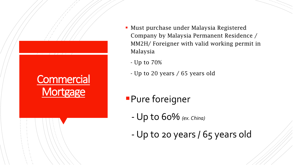## **Commercial Mortgage**

- Must purchase under Malaysia Registered Company by Malaysia Permanent Residence / MM2H/ Foreigner with valid working permit in Malaysia
	- Up to 70%
	- Up to 20 years / 65 years old

- **Pure foreigner** 
	- Up to 60% *(ex. China)*
	- Up to 20 years / 65 years old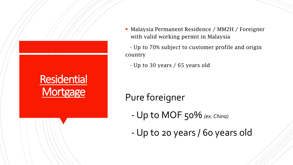

**• Malaysia Permanent Residence / MM2H / Foreigner** with valid working permit in Malaysia

 - Up to 70% subject to customer profile and origin country

- Up to 30 years / 65 years old

#### Pure foreigner

- Up to MOF 50% *(ex. China)*
- Up to 20 years / 60 years old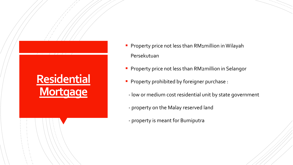# **Residential Mortgage**

- **Property price not less than RM1million in Wilayah** Persekutuan
- **Property price not less than RM2million in Selangor**
- **Property prohibited by foreigner purchase:**
- low or medium cost residential unit by state government
- property on the Malay reserved land
- property is meant for Bumiputra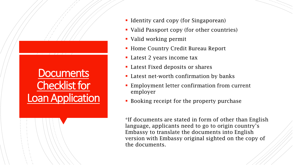## **Documents** Checklist for Loan Application

- Identity card copy (for Singaporean)
- Valid Passport copy (for other countries)
- Valid working permit
- **Home Country Credit Bureau Report**
- **Latest 2 years income tax**
- Latest Fixed deposits or shares
- **Latest net-worth confirmation by banks**
- **Employment letter confirmation from current** employer
- **Booking receipt for the property purchase**

\*If documents are stated in form of other than English language, applicants need to go to origin country's Embassy to translate the documents into English version with Embassy original sighted on the copy of the documents.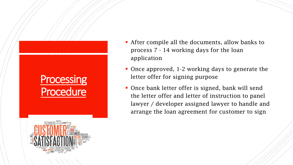## **Processing Procedure**



- After compile all the documents, allow banks to process 7 - 14 working days for the loan application
- Once approved, 1-2 working days to generate the letter offer for signing purpose
- Once bank letter offer is signed, bank will send the letter offer and letter of instruction to panel lawyer / developer assigned lawyer to handle and arrange the loan agreement for customer to sign